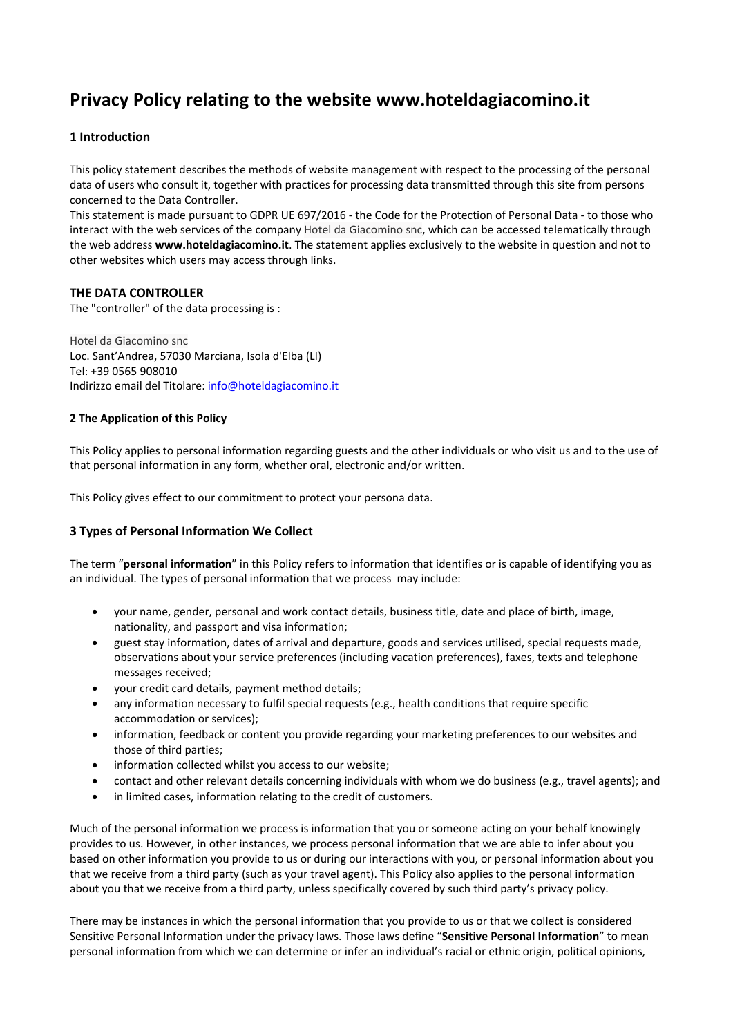# **Privacy Policy relating to the website www.hoteldagiacomino.it**

# **1 Introduction**

This policy statement describes the methods of website management with respect to the processing of the personal data of users who consult it, together with practices for processing data transmitted through this site from persons concerned to the Data Controller.

This statement is made pursuant to GDPR UE 697/2016 - the Code for the Protection of Personal Data - to those who interact with the web services of the company Hotel da Giacomino snc, which can be accessed telematically through the web address **www.hoteldagiacomino.it**. The statement applies exclusively to the website in question and not to other websites which users may access through links.

## **THE DATA CONTROLLER**

The "controller" of the data processing is :

Hotel da Giacomino snc Loc. Sant'Andrea, 57030 Marciana, Isola d'Elba (LI) Tel: +39 0565 908010 Indirizzo email del Titolare: info@hoteldagiacomino.it

## **2 The Application of this Policy**

This Policy applies to personal information regarding guests and the other individuals or who visit us and to the use of that personal information in any form, whether oral, electronic and/or written.

This Policy gives effect to our commitment to protect your persona data.

## **3 Types of Personal Information We Collect**

The term "**personal information**" in this Policy refers to information that identifies or is capable of identifying you as an individual. The types of personal information that we process may include:

- your name, gender, personal and work contact details, business title, date and place of birth, image, nationality, and passport and visa information;
- guest stay information, dates of arrival and departure, goods and services utilised, special requests made, observations about your service preferences (including vacation preferences), faxes, texts and telephone messages received;
- your credit card details, payment method details;
- any information necessary to fulfil special requests (e.g., health conditions that require specific accommodation or services);
- information, feedback or content you provide regarding your marketing preferences to our websites and those of third parties;
- information collected whilst you access to our website;
- contact and other relevant details concerning individuals with whom we do business (e.g., travel agents); and
- in limited cases, information relating to the credit of customers.

Much of the personal information we process is information that you or someone acting on your behalf knowingly provides to us. However, in other instances, we process personal information that we are able to infer about you based on other information you provide to us or during our interactions with you, or personal information about you that we receive from a third party (such as your travel agent). This Policy also applies to the personal information about you that we receive from a third party, unless specifically covered by such third party's privacy policy.

There may be instances in which the personal information that you provide to us or that we collect is considered Sensitive Personal Information under the privacy laws. Those laws define "**Sensitive Personal Information**" to mean personal information from which we can determine or infer an individual's racial or ethnic origin, political opinions,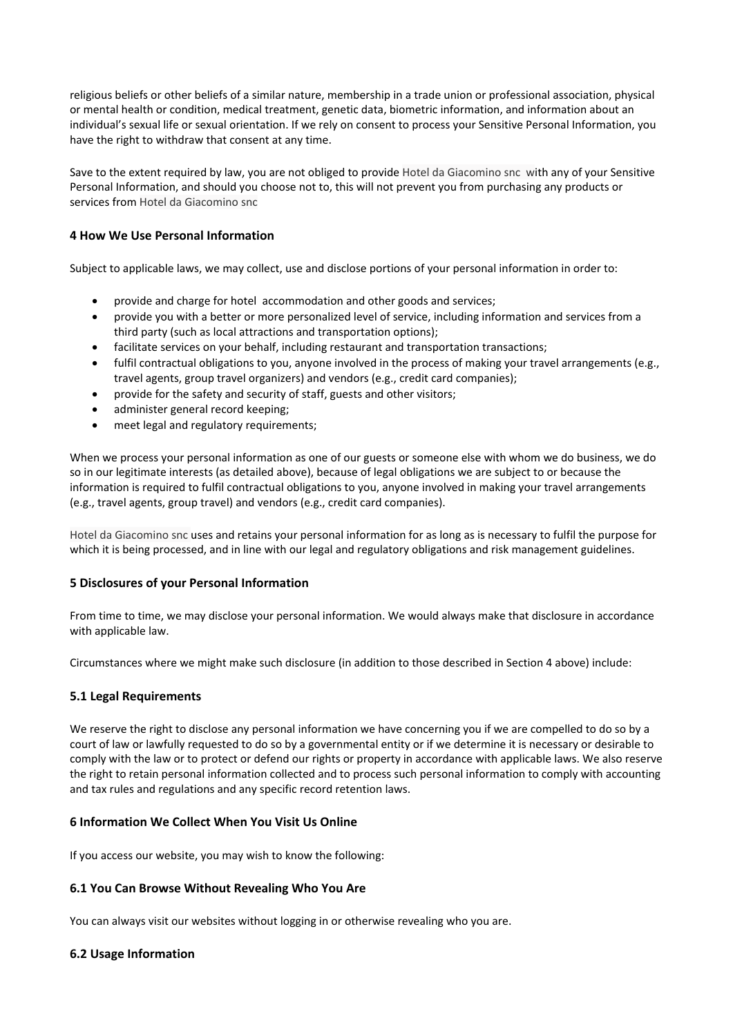religious beliefs or other beliefs of a similar nature, membership in a trade union or professional association, physical or mental health or condition, medical treatment, genetic data, biometric information, and information about an individual's sexual life or sexual orientation. If we rely on consent to process your Sensitive Personal Information, you have the right to withdraw that consent at any time.

Save to the extent required by law, you are not obliged to provide Hotel da Giacomino snc with any of your Sensitive Personal Information, and should you choose not to, this will not prevent you from purchasing any products or services from Hotel da Giacomino snc

# **4 How We Use Personal Information**

Subject to applicable laws, we may collect, use and disclose portions of your personal information in order to:

- provide and charge for hotel accommodation and other goods and services;
- provide you with a better or more personalized level of service, including information and services from a third party (such as local attractions and transportation options);
- facilitate services on your behalf, including restaurant and transportation transactions;
- fulfil contractual obligations to you, anyone involved in the process of making your travel arrangements (e.g., travel agents, group travel organizers) and vendors (e.g., credit card companies);
- provide for the safety and security of staff, guests and other visitors;
- administer general record keeping;
- meet legal and regulatory requirements;

When we process your personal information as one of our guests or someone else with whom we do business, we do so in our legitimate interests (as detailed above), because of legal obligations we are subject to or because the information is required to fulfil contractual obligations to you, anyone involved in making your travel arrangements (e.g., travel agents, group travel) and vendors (e.g., credit card companies).

Hotel da Giacomino snc uses and retains your personal information for as long as is necessary to fulfil the purpose for which it is being processed, and in line with our legal and regulatory obligations and risk management guidelines.

## **5 Disclosures of your Personal Information**

From time to time, we may disclose your personal information. We would always make that disclosure in accordance with applicable law.

Circumstances where we might make such disclosure (in addition to those described in Section 4 above) include:

## **5.1 Legal Requirements**

We reserve the right to disclose any personal information we have concerning you if we are compelled to do so by a court of law or lawfully requested to do so by a governmental entity or if we determine it is necessary or desirable to comply with the law or to protect or defend our rights or property in accordance with applicable laws. We also reserve the right to retain personal information collected and to process such personal information to comply with accounting and tax rules and regulations and any specific record retention laws.

## **6 Information We Collect When You Visit Us Online**

If you access our website, you may wish to know the following:

## **6.1 You Can Browse Without Revealing Who You Are**

You can always visit our websites without logging in or otherwise revealing who you are.

## **6.2 Usage Information**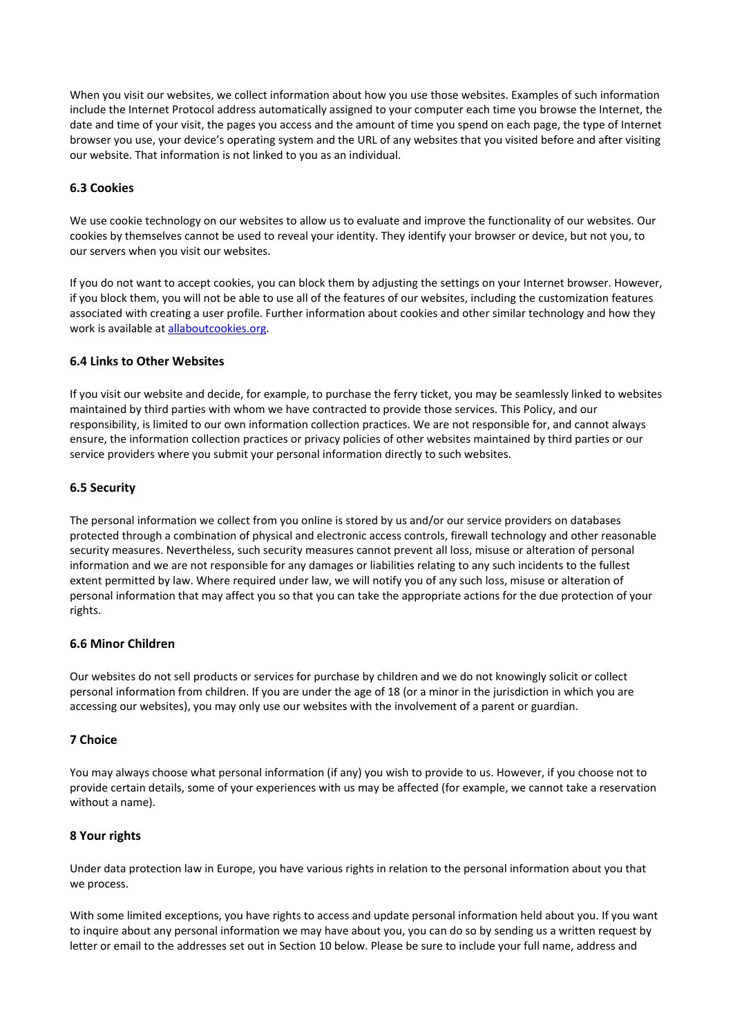When you visit our websites, we collect information about how you use those websites. Examples of such information include the Internet Protocol address automatically assigned to your computer each time you browse the Internet, the date and time of your visit, the pages you access and the amount of time you spend on each page, the type of Internet browser you use, your device's operating system and the URL of any websites that you visited before and after visiting our website. That information is not linked to you as an individual.

## **6.3 Cookies**

We use cookie technology on our websites to allow us to evaluate and improve the functionality of our websites. Our cookies by themselves cannot be used to reveal your identity. They identify your browser or device, but not you, to our servers when you visit our websites.

If you do not want to accept cookies, you can block them by adjusting the settings on your Internet browser. However, if you block them, you will not be able to use all of the features of our websites, including the customization features associated with creating a user profile. Further information about cookies and other similar technology and how they work is available at [allaboutcookies.org](http://www.allaboutcookies.org/).

#### **6.4 Links to Other Websites**

If you visit our website and decide, for example, to purchase the ferry ticket, you may be seamlessly linked to websites maintained by third parties with whom we have contracted to provide those services. This Policy, and our responsibility, is limited to our own information collection practices. We are not responsible for, and cannot always ensure, the information collection practices or privacy policies of other websites maintained by third parties or our service providers where you submit your personal information directly to such websites.

#### **6.5 Security**

The personal information we collect from you online is stored by us and/or our service providers on databases protected through a combination of physical and electronic access controls, firewall technology and other reasonable security measures. Nevertheless, such security measures cannot prevent all loss, misuse or alteration of personal information and we are not responsible for any damages or liabilities relating to any such incidents to the fullest extent permitted by law. Where required under law, we will notify you of any such loss, misuse or alteration of personal information that may affect you so that you can take the appropriate actions for the due protection of your rights.

#### **6.6 Minor Children**

Our websites do not sell products or services for purchase by children and we do not knowingly solicit or collect personal information from children. If you are under the age of 18 (or a minor in the jurisdiction in which you are accessing our websites), you may only use our websites with the involvement of a parent or guardian.

#### **7 Choice**

You may always choose what personal information (if any) you wish to provide to us. However, if you choose not to provide certain details, some of your experiences with us may be affected (for example, we cannot take a reservation without a name).

#### **8 Your rights**

Under data protection law in Europe, you have various rights in relation to the personal information about you that we process.

With some limited exceptions, you have rights to access and update personal information held about you. If you want to inquire about any personal information we may have about you, you can do so by sending us a written request by letter or email to the addresses set out in Section 10 below. Please be sure to include your full name, address and